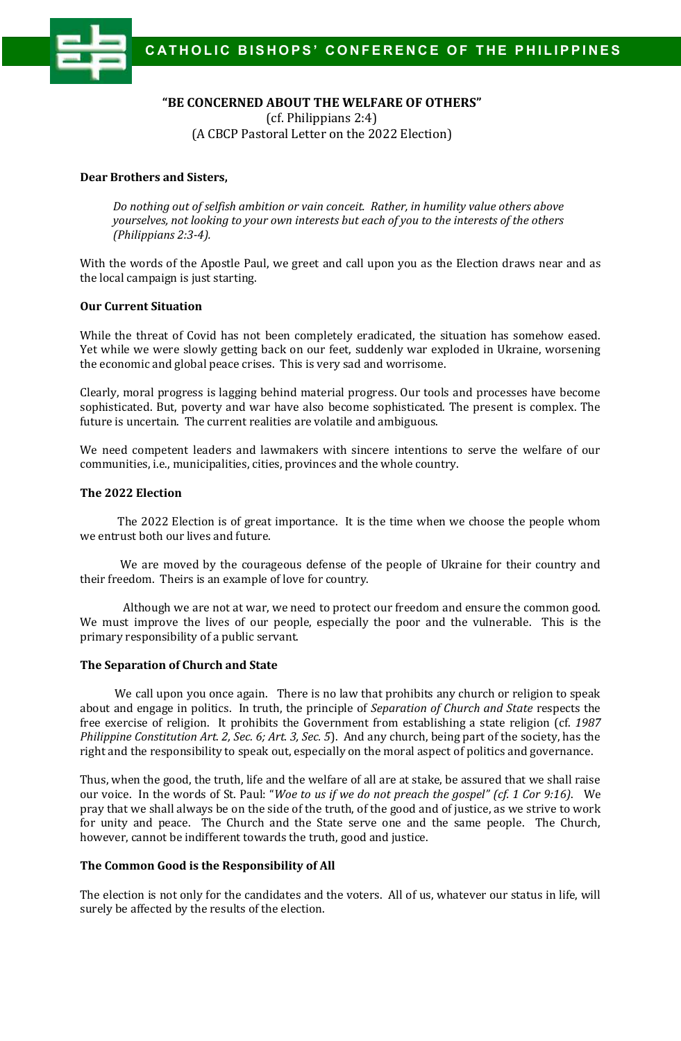

# **"BE CONCERNED ABOUT THE WELFARE OF OTHERS"**

(cf. Philippians 2:4) (A CBCP Pastoral Letter on the 2022 Election)

## **Dear Brothers and Sisters,**

*Do nothing out of selfish ambition or vain conceit. Rather, in humility value others above yourselves, not looking to your own interests but each of you to the interests of the others (Philippians 2:3-4).*

With the words of the Apostle Paul, we greet and call upon you as the Election draws near and as the local campaign is just starting.

### **Our Current Situation**

While the threat of Covid has not been completely eradicated, the situation has somehow eased. Yet while we were slowly getting back on our feet, suddenly war exploded in Ukraine, worsening the economic and global peace crises. This is very sad and worrisome.

Clearly, moral progress is lagging behind material progress. Our tools and processes have become sophisticated. But, poverty and war have also become sophisticated. The present is complex. The future is uncertain. The current realities are volatile and ambiguous.

We need competent leaders and lawmakers with sincere intentions to serve the welfare of our communities, i.e., municipalities, cities, provinces and the whole country.

### **The 2022 Election**

 The 2022 Election is of great importance. It is the time when we choose the people whom we entrust both our lives and future.

 We are moved by the courageous defense of the people of Ukraine for their country and their freedom. Theirs is an example of love for country.

 Although we are not at war, we need to protect our freedom and ensure the common good. We must improve the lives of our people, especially the poor and the vulnerable. This is the primary responsibility of a public servant.

#### **The Separation of Church and State**

 We call upon you once again. There is no law that prohibits any church or religion to speak about and engage in politics. In truth, the principle of *Separation of Church and State* respects the free exercise of religion. It prohibits the Government from establishing a state religion (cf. *1987 Philippine Constitution Art. 2, Sec. 6; Art. 3, Sec. 5*). And any church, being part of the society, has the right and the responsibility to speak out, especially on the moral aspect of politics and governance.

Thus, when the good, the truth, life and the welfare of all are at stake, be assured that we shall raise our voice. In the words of St. Paul: "*Woe to us if we do not preach the gospel" (cf. 1 Cor 9:16)*. We pray that we shall always be on the side of the truth, of the good and of justice, as we strive to work for unity and peace. The Church and the State serve one and the same people. The Church, however, cannot be indifferent towards the truth, good and justice.

#### **The Common Good is the Responsibility of All**

The election is not only for the candidates and the voters. All of us, whatever our status in life, will surely be affected by the results of the election.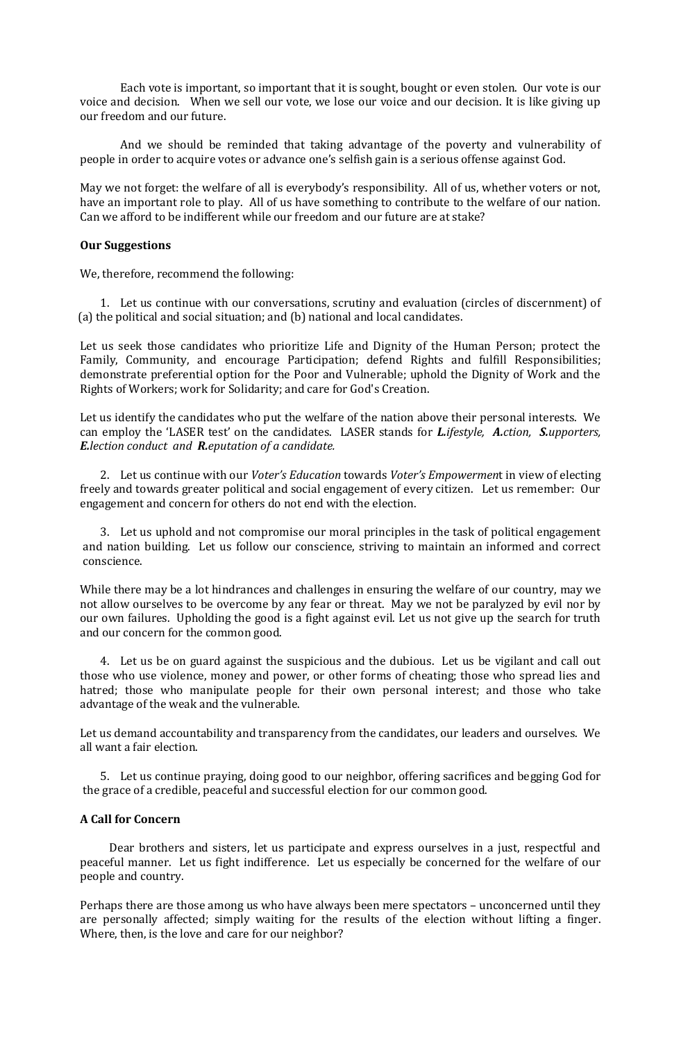Each vote is important, so important that it is sought, bought or even stolen. Our vote is our voice and decision. When we sell our vote, we lose our voice and our decision. It is like giving up our freedom and our future.

 And we should be reminded that taking advantage of the poverty and vulnerability of people in order to acquire votes or advance one's selfish gain is a serious offense against God.

May we not forget: the welfare of all is everybody's responsibility. All of us, whether voters or not, have an important role to play. All of us have something to contribute to the welfare of our nation. Can we afford to be indifferent while our freedom and our future are at stake?

#### **Our Suggestions**

We, therefore, recommend the following:

1. Let us continue with our conversations, scrutiny and evaluation (circles of discernment) of (a) the political and social situation; and (b) national and local candidates.

Let us seek those candidates who prioritize Life and Dignity of the Human Person; protect the Family, Community, and encourage Participation; defend Rights and fulfill Responsibilities; demonstrate preferential option for the Poor and Vulnerable; uphold the Dignity of Work and the Rights of Workers; work for Solidarity; and care for God's Creation.

Let us identify the candidates who put the welfare of the nation above their personal interests. We can employ the 'LASER test' on the candidates. LASER stands for *L.ifestyle, A.ction, S.upporters, E.lection conduct and R.eputation of a candidate.*

2. Let us continue with our *Voter's Education* towards *Voter's Empowermen*t in view of electing freely and towards greater political and social engagement of every citizen. Let us remember: Our engagement and concern for others do not end with the election.

3. Let us uphold and not compromise our moral principles in the task of political engagement and nation building. Let us follow our conscience, striving to maintain an informed and correct conscience.

While there may be a lot hindrances and challenges in ensuring the welfare of our country, may we not allow ourselves to be overcome by any fear or threat. May we not be paralyzed by evil nor by our own failures. Upholding the good is a fight against evil. Let us not give up the search for truth and our concern for the common good.

4. Let us be on guard against the suspicious and the dubious. Let us be vigilant and call out those who use violence, money and power, or other forms of cheating; those who spread lies and hatred; those who manipulate people for their own personal interest; and those who take advantage of the weak and the vulnerable.

Let us demand accountability and transparency from the candidates, our leaders and ourselves. We all want a fair election.

5. Let us continue praying, doing good to our neighbor, offering sacrifices and begging God for the grace of a credible, peaceful and successful election for our common good.

## **A Call for Concern**

 Dear brothers and sisters, let us participate and express ourselves in a just, respectful and peaceful manner. Let us fight indifference. Let us especially be concerned for the welfare of our people and country.

Perhaps there are those among us who have always been mere spectators – unconcerned until they are personally affected; simply waiting for the results of the election without lifting a finger. Where, then, is the love and care for our neighbor?